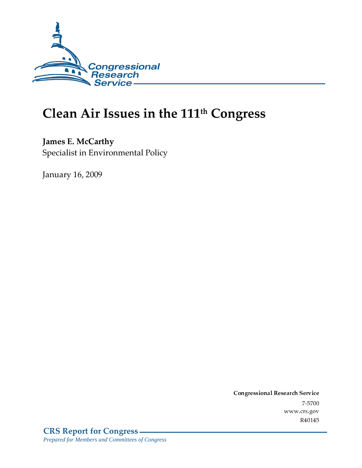

# Clean Air Issues in the 111<sup>th</sup> Congress

**James E. McCarthy** Specialist in Environmental Policy

January 16, 2009

Conglessional Research Service  $7 - 2700$ www.crs.gov R40145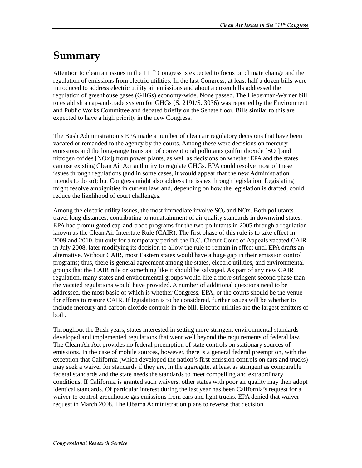## Summary

Attention to clean air issues in the 111<sup>th</sup> Congress is expected to focus on climate change and the regulation of emissions from electric utilities. In the last Congress, at least half a dozen bills were introduced to address electric utility air emissions and about a dozen bills addressed the regulation of greenhouse gases (GHGs) economy-wide. None passed. The Lieberman-Warner bill to establish a cap-and-trade system for GHGs (S. 2191/S. 3036) was reported by the Environment and Public Works Committee and debated briefly on the Senate floor. Bills similar to this are expected to have a high priority in the new Congress.

The Bush Administration's EPA made a number of clean air regulatory decisions that have been vacated or remanded to the agency by the courts. Among these were decisions on mercury emissions and the long-range transport of conventional pollutants (sulfur dioxide  $[SO<sub>2</sub>]$  and nitrogen oxides [NOx]) from power plants, as well as decisions on whether EPA and the states can use existing Clean Air Act authority to regulate GHGs. EPA could resolve most of these issues through regulations (and in some cases, it would appear that the new Administration intends to do so); but Congress might also address the issues through legislation. Legislating might resolve ambiguities in current law, and, depending on how the legislation is drafted, could reduce the likelihood of court challenges.

Among the electric utility issues, the most immediate involve  $SO<sub>2</sub>$  and NOx. Both pollutants travel long distances, contributing to nonattainment of air quality standards in downwind states. EPA had promulgated cap-and-trade programs for the two pollutants in 2005 through a regulation known as the Clean Air Interstate Rule (CAIR). The first phase of this rule is to take effect in 2009 and 2010, but only for a temporary period: the D.C. Circuit Court of Appeals vacated CAIR in July 2008, later modifying its decision to allow the rule to remain in effect until EPA drafts an alternative. Without CAIR, most Eastern states would have a huge gap in their emission control programs; thus, there is general agreement among the states, electric utilities, and environmental groups that the CAIR rule or something like it should be salvaged. As part of any new CAIR regulation, many states and environmental groups would like a more stringent second phase than the vacated regulations would have provided. A number of additional questions need to be addressed, the most basic of which is whether Congress, EPA, or the courts should be the venue for efforts to restore CAIR. If legislation is to be considered, further issues will be whether to include mercury and carbon dioxide controls in the bill. Electric utilities are the largest emitters of both.

Throughout the Bush years, states interested in setting more stringent environmental standards developed and implemented regulations that went well beyond the requirements of federal law. The Clean Air Act provides no federal preemption of state controls on stationary sources of emissions. In the case of mobile sources, however, there is a general federal preemption, with the exception that California (which developed the nation's first emission controls on cars and trucks) may seek a waiver for standards if they are, in the aggregate, at least as stringent as comparable federal standards and the state needs the standards to meet compelling and extraordinary conditions. If California is granted such waivers, other states with poor air quality may then adopt identical standards. Of particular interest during the last year has been California's request for a waiver to control greenhouse gas emissions from cars and light trucks. EPA denied that waiver request in March 2008. The Obama Administration plans to reverse that decision.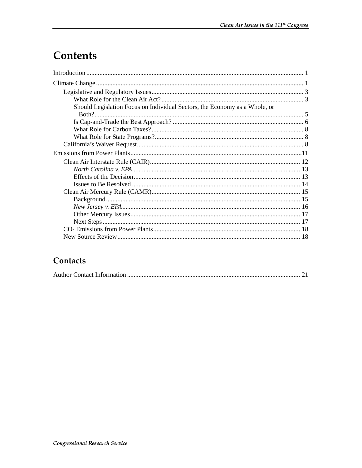## **Contents**

| Should Legislation Focus on Individual Sectors, the Economy as a Whole, or |  |
|----------------------------------------------------------------------------|--|
|                                                                            |  |
|                                                                            |  |
|                                                                            |  |
|                                                                            |  |
|                                                                            |  |
|                                                                            |  |
|                                                                            |  |
|                                                                            |  |
|                                                                            |  |
|                                                                            |  |
|                                                                            |  |
|                                                                            |  |
|                                                                            |  |
|                                                                            |  |
|                                                                            |  |
|                                                                            |  |
|                                                                            |  |

## Contacts

|--|--|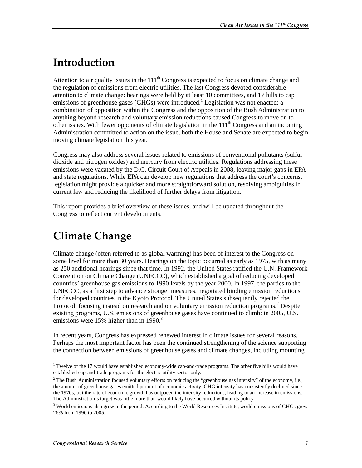## <u>Introduction</u>

Attention to air quality issues in the  $111<sup>th</sup>$  Congress is expected to focus on climate change and the regulation of emissions from electric utilities. The last Congress devoted considerable attention to climate change: hearings were held by at least 10 committees, and 17 bills to cap emissions of greenhouse gases (GHGs) were introduced.<sup>1</sup> Legislation was not enacted: a combination of opposition within the Congress and the opposition of the Bush Administration to anything beyond research and voluntary emission reductions caused Congress to move on to other issues. With fewer opponents of climate legislation in the  $111<sup>th</sup>$  Congress and an incoming Administration committed to action on the issue, both the House and Senate are expected to begin moving climate legislation this year.

Congress may also address several issues related to emissions of conventional pollutants (sulfur dioxide and nitrogen oxides) and mercury from electric utilities. Regulations addressing these emissions were vacated by the D.C. Circuit Court of Appeals in 2008, leaving major gaps in EPA and state regulations. While EPA can develop new regulations that address the court's concerns, legislation might provide a quicker and more straightforward solution, resolving ambiguities in current law and reducing the likelihood of further delays from litigation.

This report provides a brief overview of these issues, and will be updated throughout the Congress to reflect current developments.

## **Climate Change**

Climate change (often referred to as global warming) has been of interest to the Congress on some level for more than 30 years. Hearings on the topic occurred as early as 1975, with as many as 250 additional hearings since that time. In 1992, the United States ratified the U.N. Framework Convention on Climate Change (UNFCCC), which established a goal of reducing developed countries' greenhouse gas emissions to 1990 levels by the year 2000. In 1997, the parties to the UNFCCC, as a first step to advance stronger measures, negotiated binding emission reductions for developed countries in the Kyoto Protocol. The United States subsequently rejected the Protocol, focusing instead on research and on voluntary emission reduction programs.<sup>2</sup> Despite existing programs, U.S. emissions of greenhouse gases have continued to climb: in 2005, U.S. emissions were 15% higher than in 1990.<sup>3</sup>

In recent years, Congress has expressed renewed interest in climate issues for several reasons. Perhaps the most important factor has been the continued strengthening of the science supporting the connection between emissions of greenhouse gases and climate changes, including mounting

<sup>&</sup>lt;sup>1</sup> Twelve of the 17 would have established economy-wide cap-and-trade programs. The other five bills would have established cap-and-trade programs for the electric utility sector only.

 $2$  The Bush Administration focused voluntary efforts on reducing the "greenhouse gas intensity" of the economy, i.e., the amount of greenhouse gases emitted per unit of economic activity. GHG intensity has consistently declined since the 1970s; but the rate of economic growth has outpaced the intensity reductions, leading to an increase in emissions. The Administration's target was little more than would likely have occurred without its policy.

<sup>&</sup>lt;sup>3</sup> World emissions also grew in the period. According to the World Resources Institute, world emissions of GHGs grew 26% from 1990 to 2005.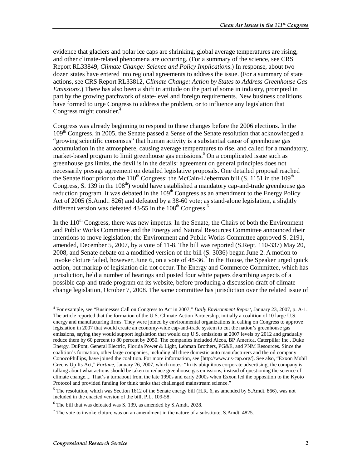evidence that glaciers and polar ice caps are shrinking, global average temperatures are rising, and other climate-related phenomena are occurring. (For a summary of the science, see CRS Report RL33849, *Climate Change: Science and Policy Implications*.) In response, about two dozen states have entered into regional agreements to address the issue. (For a summary of state actions, see CRS Report RL33812, *Climate Change: Action by States to Address Greenhouse Gas Emissions*.) There has also been a shift in attitude on the part of some in industry, prompted in part by the growing patchwork of state-level and foreign requirements. New business coalitions have formed to urge Congress to address the problem, or to influence any legislation that Congress might consider.<sup>4</sup>

Congress was already beginning to respond to these changes before the 2006 elections. In the 109<sup>th</sup> Congress, in 2005, the Senate passed a Sense of the Senate resolution that acknowledged a "growing scientific consensus" that human activity is a substantial cause of greenhouse gas accumulation in the atmosphere, causing average temperatures to rise, and called for a mandatory, market-based program to limit greenhouse gas emissions.<sup>5</sup> On a complicated issue such as greenhouse gas limits, the devil is in the details: agreement on general principles does not necessarily presage agreement on detailed legislative proposals. One detailed proposal reached the Senate floor prior to the  $110^{th}$  Congress: the McCain-Lieberman bill (S. 1151 in the 109<sup>th</sup> Congress, S. 139 in the 108<sup>th</sup>) would have established a mandatory cap-and-trade greenhouse gas reduction program. It was debated in the 109<sup>th</sup> Congress as an amendment to the Energy Policy Act of 2005 (S.Amdt. 826) and defeated by a 38-60 vote; as stand-alone legislation, a slightly different version was defeated 43-55 in the  $108<sup>th</sup>$  Congress.<sup>6</sup>

In the  $110<sup>th</sup>$  Congress, there was new impetus. In the Senate, the Chairs of both the Environment and Public Works Committee and the Energy and Natural Resources Committee announced their intentions to move legislation; the Environment and Public Works Committee approved S. 2191, amended, December 5, 2007, by a vote of 11-8. The bill was reported (S.Rept. 110-337) May 20, 2008, and Senate debate on a modified version of the bill (S. 3036) began June 2. A motion to invoke cloture failed, however, June 6, on a vote of  $48-36$ .<sup>7</sup> In the House, the Speaker urged quick action, but markup of legislation did not occur. The Energy and Commerce Committee, which has jurisdiction, held a number of hearings and posted four white papers describing aspects of a possible cap-and-trade program on its website, before producing a discussion draft of climate change legislation, October 7, 2008. The same committee has jurisdiction over the related issue of

<sup>4</sup> For example, see "Businesses Call on Congress to Act in 2007," *Daily Environment Report*, January 23, 2007, p. A-1. The article reported that the formation of the U.S. Climate Action Partnership, initially a coalition of 10 large U.S. energy and manufacturing firms. They were joined by environmental organizations in calling on Congress to approve legislation in 2007 that would create an economy-wide cap-and-trade system to cut the nation's greenhouse gas emissions, saying they would support legislation that would cap U.S. emissions at 2007 levels by 2012 and gradually reduce them by 60 percent to 80 percent by 2050. The companies included Alcoa, BP America, Caterpillar Inc., Duke Energy, DuPont, General Electric, Florida Power & Light, Lehman Brothers, PG&E, and PNM Resources. Since the coalition's formation, other large companies, including all three domestic auto manufacturers and the oil company ConocoPhillips, have joined the coalition. For more information, see [http://www.us-cap.org/]. See also, "Exxon Mobil Greens Up Its Act," *Fortune*, January 26, 2007, which notes: "In its ubiquitous corporate advertising, the company is talking about what actions should be taken to reduce greenhouse gas emissions, instead of questioning the science of climate change.... That's a turnabout from the late 1990s and early 2000s when Exxon led the opposition to the Kyoto Protocol and provided funding for think tanks that challenged mainstream science."

 $5$  The resolution, which was Section 1612 of the Senate energy bill (H.R. 6, as amended by S.Amdt. 866), was not included in the enacted version of the bill, P.L. 109-58.

 $6$  The bill that was defeated was S. 139, as amended by S.Amdt. 2028.

<sup>&</sup>lt;sup>7</sup> The vote to invoke cloture was on an amendment in the nature of a substitute, S.Amdt. 4825.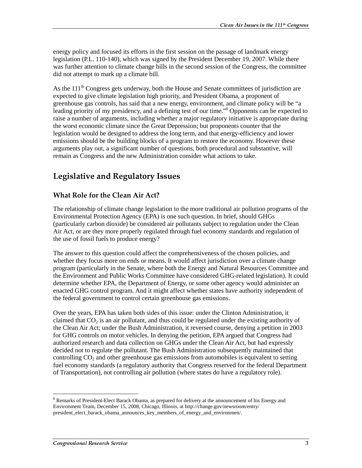energy policy and focused its efforts in the first session on the passage of landmark energy legislation (P.L. 110-140), which was signed by the President December 19, 2007. While there was further attention to climate change bills in the second session of the Congress, the committee did not attempt to mark up a climate bill.

As the  $111<sup>th</sup>$  Congress gets underway, both the House and Senate committees of jurisdiction are expected to give climate legislation high priority, and President Obama, a proponent of greenhouse gas controls, has said that a new energy, environment, and climate policy will be "a leading priority of my presidency, and a defining test of our time."<sup>8</sup> Opponents can be expected to raise a number of arguments, including whether a major regulatory initiative is appropriate during the worst economic climate since the Great Depression; but proponents counter that the legislation would be designed to address the long term, and that energy-efficiency and lower emissions should be the building blocks of a program to restore the economy. However these arguments play out, a significant number of questions, both procedural and substantive, will remain as Congress and the new Administration consider what actions to take.

## **Legislative and Regulatory Issues**

### **What Role for the Clean Air Act?**

The relationship of climate change legislation to the more traditional air pollution programs of the Environmental Protection Agency (EPA) is one such question. In brief, should GHGs (particularly carbon dioxide) be considered air pollutants subject to regulation under the Clean Air Act, or are they more properly regulated through fuel economy standards and regulation of the use of fossil fuels to produce energy?

The answer to this question could affect the comprehensiveness of the chosen policies, and whether they focus more on ends or means. It would affect jurisdiction over a climate change program (particularly in the Senate, where both the Energy and Natural Resources Committee and the Environment and Public Works Committee have considered GHG-related legislation). It could determine whether EPA, the Department of Energy, or some other agency would administer an enacted GHG control program. And it might affect whether states have authority independent of the federal government to control certain greenhouse gas emissions.

Over the years, EPA has taken both sides of this issue: under the Clinton Administration, it claimed that  $CO<sub>2</sub>$  is an air pollutant, and thus could be regulated under the existing authority of the Clean Air Act; under the Bush Administration, it reversed course, denying a petition in 2003 for GHG controls on motor vehicles. In denying the petition, EPA argued that Congress had authorized research and data collection on GHGs under the Clean Air Act, but had expressly decided not to regulate the pollutant. The Bush Administration subsequently maintained that controlling  $CO<sub>2</sub>$  and other greenhouse gas emissions from automobiles is equivalent to setting fuel economy standards (a regulatory authority that Congress reserved for the federal Department of Transportation), not controlling air pollution (where states do have a regulatory role).

 $\overline{a}$ <sup>8</sup> Remarks of President-Elect Barack Obama, as prepared for delivery at the announcement of his Energy and Environment Team, December 15, 2008, Chicago, Illinois, at http://change.gov/newsroom/entry/ president\_elect\_barack\_obama\_announces\_key\_members\_of\_energy\_and\_environmen/.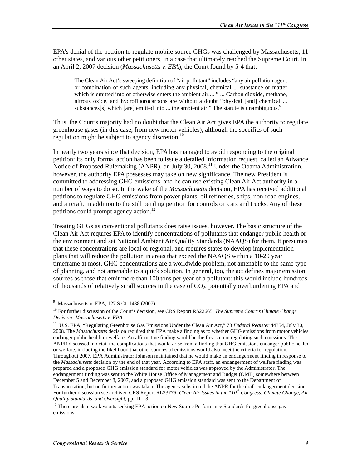EPA's denial of the petition to regulate mobile source GHGs was challenged by Massachusetts, 11 other states, and various other petitioners, in a case that ultimately reached the Supreme Court. In an April 2, 2007 decision (*Massachusetts v. EPA*), the Court found by 5-4 that:

The Clean Air Act's sweeping definition of "air pollutant" includes "any air pollution agent or combination of such agents, including any physical, chemical ... substance or matter which is emitted into or otherwise enters the ambient air.... " ... Carbon dioxide, methane, nitrous oxide, and hydrofluorocarbons are without a doubt "physical [and] chemical ... substances[s] which [are] emitted into ... the ambient air." The statute is unambiguous. $9$ 

Thus, the Court's majority had no doubt that the Clean Air Act gives EPA the authority to regulate greenhouse gases (in this case, from new motor vehicles), although the specifics of such regulation might be subject to agency discretion.<sup>10</sup>

In nearly two years since that decision, EPA has managed to avoid responding to the original petition: its only formal action has been to issue a detailed information request, called an Advance Notice of Proposed Rulemaking (ANPR), on July 30, 2008.<sup>11</sup> Under the Obama Administration, however, the authority EPA possesses may take on new significance. The new President is committed to addressing GHG emissions, and he can use existing Clean Air Act authority in a number of ways to do so. In the wake of the *Massachusetts* decision, EPA has received additional petitions to regulate GHG emissions from power plants, oil refineries, ships, non-road engines, and aircraft, in addition to the still pending petition for controls on cars and trucks. Any of these petitions could prompt agency action.<sup>12</sup>

Treating GHGs as conventional pollutants does raise issues, however. The basic structure of the Clean Air Act requires EPA to identify concentrations of pollutants that endanger public health or the environment and set National Ambient Air Quality Standards (NAAQS) for them. It presumes that these concentrations are local or regional, and requires states to develop implementation plans that will reduce the pollution in areas that exceed the NAAQS within a 10-20 year timeframe at most. GHG concentrations are a worldwide problem, not amenable to the same type of planning, and not amenable to a quick solution. In general, too, the act defines major emission sources as those that emit more than 100 tons per year of a pollutant: this would include hundreds of thousands of relatively small sources in the case of  $CO<sub>2</sub>$ , potentially overburdening EPA and

 9 Massachusetts v. EPA, 127 S.Ct. 1438 (2007).

<sup>10</sup> For further discussion of the Court's decision, see CRS Report RS22665, *The Supreme Court's Climate Change Decision: Massachusetts v. EPA*.

<sup>11</sup> U.S. EPA, "Regulating Greenhouse Gas Emissions Under the Clean Air Act," 73 *Federal Register* 44354, July 30, 2008. The *Massachusetts* decision required that EPA make a finding as to whether GHG emissions from motor vehicles endanger public health or welfare. An affirmative finding would be the first step in regulating such emissions. The ANPR discussed in detail the complications that would arise from a finding that GHG emissions endanger public health or welfare, including the likelihood that other sources of emissions would also meet the criteria for regulation. Throughout 2007, EPA Administrator Johnson maintained that he would make an endangerment finding in response to the *Massachusetts* decision by the end of that year. According to EPA staff, an endangerment of welfare finding was prepared and a proposed GHG emission standard for motor vehicles was approved by the Administrator. The endangerment finding was sent to the White House Office of Management and Budget (OMB) somewhere between December 5 and December 8, 2007, and a proposed GHG emission standard was sent to the Department of Transportation, but no further action was taken. The agency substituted the ANPR for the draft endangerment decision. For further discussion see archived CRS Report RL33776, *Clean Air Issues in the 110th Congress: Climate Change, Air Quality Standards, and Oversight*, pp. 11-13.

<sup>&</sup>lt;sup>12</sup> There are also two lawsuits seeking EPA action on New Source Performance Standards for greenhouse gas emissions.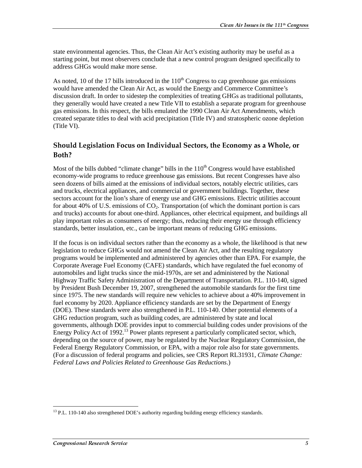state environmental agencies. Thus, the Clean Air Act's existing authority may be useful as a starting point, but most observers conclude that a new control program designed specifically to address GHGs would make more sense.

As noted, 10 of the 17 bills introduced in the  $110<sup>th</sup>$  Congress to cap greenhouse gas emissions would have amended the Clean Air Act, as would the Energy and Commerce Committee's discussion draft. In order to sidestep the complexities of treating GHGs as traditional pollutants, they generally would have created a new Title VII to establish a separate program for greenhouse gas emissions. In this respect, the bills emulated the 1990 Clean Air Act Amendments, which created separate titles to deal with acid precipitation (Title IV) and stratospheric ozone depletion (Title VI).

### Should Legislation Focus on Individual Sectors, the Economy as a Whole, or Both?

Most of the bills dubbed "climate change" bills in the  $110<sup>th</sup>$  Congress would have established economy-wide programs to reduce greenhouse gas emissions. But recent Congresses have also seen dozens of bills aimed at the emissions of individual sectors, notably electric utilities, cars and trucks, electrical appliances, and commercial or government buildings. Together, these sectors account for the lion's share of energy use and GHG emissions. Electric utilities account for about 40% of U.S. emissions of  $CO<sub>2</sub>$ . Transportation (of which the dominant portion is cars and trucks) accounts for about one-third. Appliances, other electrical equipment, and buildings all play important roles as consumers of energy; thus, reducing their energy use through efficiency standards, better insulation, etc., can be important means of reducing GHG emissions.

If the focus is on individual sectors rather than the economy as a whole, the likelihood is that new legislation to reduce GHGs would not amend the Clean Air Act, and the resulting regulatory programs would be implemented and administered by agencies other than EPA. For example, the Corporate Average Fuel Economy (CAFE) standards, which have regulated the fuel economy of automobiles and light trucks since the mid-1970s, are set and administered by the National Highway Traffic Safety Administration of the Department of Transportation. P.L. 110-140, signed by President Bush December 19, 2007, strengthened the automobile standards for the first time since 1975. The new standards will require new vehicles to achieve about a 40% improvement in fuel economy by 2020. Appliance efficiency standards are set by the Department of Energy (DOE). These standards were also strengthened in P.L. 110-140. Other potential elements of a GHG reduction program, such as building codes, are administered by state and local governments, although DOE provides input to commercial building codes under provisions of the Energy Policy Act of  $1992<sup>13</sup>$  Power plants represent a particularly complicated sector, which, depending on the source of power, may be regulated by the Nuclear Regulatory Commission, the Federal Energy Regulatory Commission, or EPA, with a major role also for state governments. (For a discussion of federal programs and policies, see CRS Report RL31931, *Climate Change: Federal Laws and Policies Related to Greenhouse Gas Reductions*.)

 $\overline{a}$ <sup>13</sup> P.L. 110-140 also strengthened DOE's authority regarding building energy efficiency standards.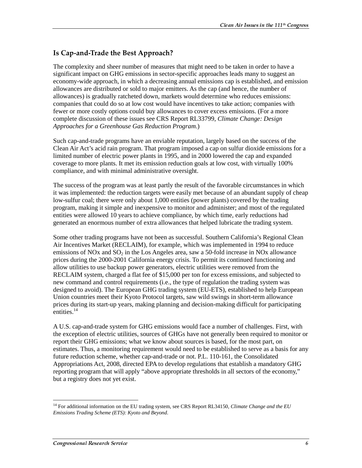## Is Cap-and-Trade the Best Approach?

The complexity and sheer number of measures that might need to be taken in order to have a significant impact on GHG emissions in sector-specific approaches leads many to suggest an economy-wide approach, in which a decreasing annual emissions cap is established, and emission allowances are distributed or sold to major emitters. As the cap (and hence, the number of allowances) is gradually ratcheted down, markets would determine who reduces emissions: companies that could do so at low cost would have incentives to take action; companies with fewer or more costly options could buy allowances to cover excess emissions. (For a more complete discussion of these issues see CRS Report RL33799, *Climate Change: Design Approaches for a Greenhouse Gas Reduction Program*.)

Such cap-and-trade programs have an enviable reputation, largely based on the success of the Clean Air Act's acid rain program. That program imposed a cap on sulfur dioxide emissions for a limited number of electric power plants in 1995, and in 2000 lowered the cap and expanded coverage to more plants. It met its emission reduction goals at low cost, with virtually 100% compliance, and with minimal administrative oversight.

The success of the program was at least partly the result of the favorable circumstances in which it was implemented: the reduction targets were easily met because of an abundant supply of cheap low-sulfur coal; there were only about 1,000 entities (power plants) covered by the trading program, making it simple and inexpensive to monitor and administer; and most of the regulated entities were allowed 10 years to achieve compliance, by which time, early reductions had generated an enormous number of extra allowances that helped lubricate the trading system.

Some other trading programs have not been as successful. Southern California's Regional Clean Air Incentives Market (RECLAIM), for example, which was implemented in 1994 to reduce emissions of NOx and  $SO<sub>2</sub>$  in the Los Angeles area, saw a 50-fold increase in NOx allowance prices during the 2000-2001 California energy crisis. To permit its continued functioning and allow utilities to use backup power generators, electric utilities were removed from the RECLAIM system, charged a flat fee of \$15,000 per ton for excess emissions, and subjected to new command and control requirements (i.e., the type of regulation the trading system was designed to avoid). The European GHG trading system (EU-ETS), established to help European Union countries meet their Kyoto Protocol targets, saw wild swings in short-term allowance prices during its start-up years, making planning and decision-making difficult for participating entities. $14$ 

A U.S. cap-and-trade system for GHG emissions would face a number of challenges. First, with the exception of electric utilities, sources of GHGs have not generally been required to monitor or report their GHG emissions; what we know about sources is based, for the most part, on estimates. Thus, a monitoring requirement would need to be established to serve as a basis for any future reduction scheme, whether cap-and-trade or not. P.L. 110-161, the Consolidated Appropriations Act, 2008, directed EPA to develop regulations that establish a mandatory GHG reporting program that will apply "above appropriate thresholds in all sectors of the economy," but a registry does not yet exist.

 $\overline{a}$ 14 For additional information on the EU trading system, see CRS Report RL34150, *Climate Change and the EU Emissions Trading Scheme (ETS): Kyoto and Beyond*.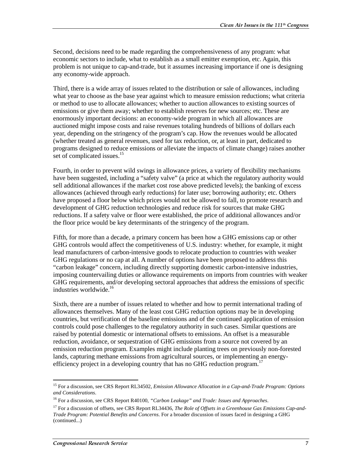Second, decisions need to be made regarding the comprehensiveness of any program: what economic sectors to include, what to establish as a small emitter exemption, etc. Again, this problem is not unique to cap-and-trade, but it assumes increasing importance if one is designing any economy-wide approach.

Third, there is a wide array of issues related to the distribution or sale of allowances, including what year to choose as the base year against which to measure emission reductions; what criteria or method to use to allocate allowances; whether to auction allowances to existing sources of emissions or give them away; whether to establish reserves for new sources; etc. These are enormously important decisions: an economy-wide program in which all allowances are auctioned might impose costs and raise revenues totaling hundreds of billions of dollars each year, depending on the stringency of the program's cap. How the revenues would be allocated (whether treated as general revenues, used for tax reduction, or, at least in part, dedicated to programs designed to reduce emissions or alleviate the impacts of climate change) raises another set of complicated issues.<sup>15</sup>

Fourth, in order to prevent wild swings in allowance prices, a variety of flexibility mechanisms have been suggested, including a "safety valve" (a price at which the regulatory authority would sell additional allowances if the market cost rose above predicted levels); the banking of excess allowances (achieved through early reductions) for later use; borrowing authority; etc. Others have proposed a floor below which prices would not be allowed to fall, to promote research and development of GHG reduction technologies and reduce risk for sources that make GHG reductions. If a safety valve or floor were established, the price of additional allowances and/or the floor price would be key determinants of the stringency of the program.

Fifth, for more than a decade, a primary concern has been how a GHG emissions cap or other GHG controls would affect the competitiveness of U.S. industry: whether, for example, it might lead manufacturers of carbon-intensive goods to relocate production to countries with weaker GHG regulations or no cap at all. A number of options have been proposed to address this "carbon leakage" concern, including directly supporting domestic carbon-intensive industries, imposing countervailing duties or allowance requirements on imports from countries with weaker GHG requirements, and/or developing sectoral approaches that address the emissions of specific industries worldwide.<sup>16</sup>

Sixth, there are a number of issues related to whether and how to permit international trading of allowances themselves. Many of the least cost GHG reduction options may be in developing countries, but verification of the baseline emissions and of the continued application of emission controls could pose challenges to the regulatory authority in such cases. Similar questions are raised by potential domestic or international offsets to emissions. An offset is a measurable reduction, avoidance, or sequestration of GHG emissions from a source not covered by an emission reduction program. Examples might include planting trees on previously non-forested lands, capturing methane emissions from agricultural sources, or implementing an energyefficiency project in a developing country that has no GHG reduction program.<sup>17</sup>

 $\overline{a}$ 15 For a discussion, see CRS Report RL34502, *Emission Allowance Allocation in a Cap-and-Trade Program: Options and Considerations*.

<sup>16</sup> For a discussion, see CRS Report R40100, *"Carbon Leakage" and Trade: Issues and Approaches*.

<sup>&</sup>lt;sup>17</sup> For a discussion of offsets, see CRS Report RL34436, *The Role of Offsets in a Greenhouse Gas Emissions Cap-and-Trade Program: Potential Benefits and Concerns*. For a broader discussion of issues faced in designing a GHG (continued...)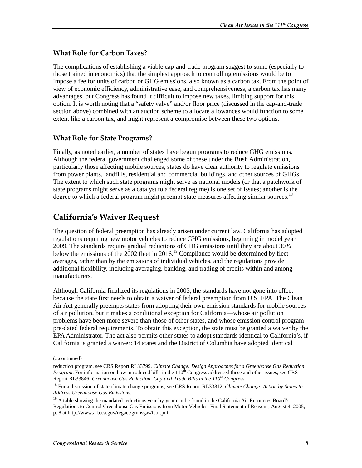#### What Role for Carbon Taxes?

The complications of establishing a viable cap-and-trade program suggest to some (especially to those trained in economics) that the simplest approach to controlling emissions would be to impose a fee for units of carbon or GHG emissions, also known as a carbon tax. From the point of view of economic efficiency, administrative ease, and comprehensiveness, a carbon tax has many advantages, but Congress has found it difficult to impose new taxes, limiting support for this option. It is worth noting that a "safety valve" and/or floor price (discussed in the cap-and-trade section above) combined with an auction scheme to allocate allowances would function to some extent like a carbon tax, and might represent a compromise between these two options.

### What Role for State Programs?

Finally, as noted earlier, a number of states have begun programs to reduce GHG emissions. Although the federal government challenged some of these under the Bush Administration, particularly those affecting mobile sources, states do have clear authority to regulate emissions from power plants, landfills, residential and commercial buildings, and other sources of GHGs. The extent to which such state programs might serve as national models (or that a patchwork of state programs might serve as a catalyst to a federal regime) is one set of issues; another is the degree to which a federal program might preempt state measures affecting similar sources.<sup>18</sup>

## **California's Waiver Request**

The question of federal preemption has already arisen under current law. California has adopted regulations requiring new motor vehicles to reduce GHG emissions, beginning in model year 2009. The standards require gradual reductions of GHG emissions until they are about 30% below the emissions of the 2002 fleet in 2016.<sup>19</sup> Compliance would be determined by fleet averages, rather than by the emissions of individual vehicles, and the regulations provide additional flexibility, including averaging, banking, and trading of credits within and among manufacturers.

Although California finalized its regulations in 2005, the standards have not gone into effect because the state first needs to obtain a waiver of federal preemption from U.S. EPA. The Clean Air Act generally preempts states from adopting their own emission standards for mobile sources of air pollution, but it makes a conditional exception for California—whose air pollution problems have been more severe than those of other states, and whose emission control program pre-dated federal requirements. To obtain this exception, the state must be granted a waiver by the EPA Administrator. The act also permits other states to adopt standards identical to California's, if California is granted a waiver: 14 states and the District of Columbia have adopted identical

<sup>(...</sup>continued)

reduction program, see CRS Report RL33799, *Climate Change: Design Approaches for a Greenhouse Gas Reduction Program*. For information on how introduced bills in the 110<sup>th</sup> Congress addressed these and other issues, see CRS Report RL33846, *Greenhouse Gas Reduction: Cap-and-Trade Bills in the 110th Congress*.

<sup>18</sup> For a discussion of state climate change programs, see CRS Report RL33812, *Climate Change: Action by States to Address Greenhouse Gas Emissions*.

<sup>&</sup>lt;sup>19</sup> A table showing the mandated reductions year-by-year can be found in the California Air Resources Board's Regulations to Control Greenhouse Gas Emissions from Motor Vehicles, Final Statement of Reasons, August 4, 2005, p. 8 at http://www.arb.ca.gov/regact/grnhsgas/fsor.pdf.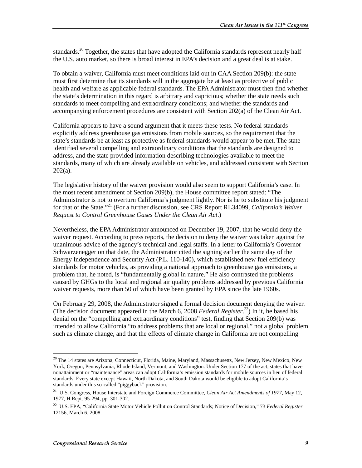standards.<sup>20</sup> Together, the states that have adopted the California standards represent nearly half the U.S. auto market, so there is broad interest in EPA's decision and a great deal is at stake.

To obtain a waiver, California must meet conditions laid out in CAA Section 209(b): the state must first determine that its standards will in the aggregate be at least as protective of public health and welfare as applicable federal standards. The EPA Administrator must then find whether the state's determination in this regard is arbitrary and capricious; whether the state needs such standards to meet compelling and extraordinary conditions; and whether the standards and accompanying enforcement procedures are consistent with Section 202(a) of the Clean Air Act.

California appears to have a sound argument that it meets these tests. No federal standards explicitly address greenhouse gas emissions from mobile sources, so the requirement that the state's standards be at least as protective as federal standards would appear to be met. The state identified several compelling and extraordinary conditions that the standards are designed to address, and the state provided information describing technologies available to meet the standards, many of which are already available on vehicles, and addressed consistent with Section  $202(a)$ .

The legislative history of the waiver provision would also seem to support California's case. In the most recent amendment of Section 209(b), the House committee report stated: "The Administrator is not to overturn California's judgment lightly. Nor is he to substitute his judgment for that of the State."21 (For a further discussion, see CRS Report RL34099, *California's Waiver Request to Control Greenhouse Gases Under the Clean Air Act*.)

Nevertheless, the EPA Administrator announced on December 19, 2007, that he would deny the waiver request. According to press reports, the decision to deny the waiver was taken against the unanimous advice of the agency's technical and legal staffs. In a letter to California's Governor Schwarzenegger on that date, the Administrator cited the signing earlier the same day of the Energy Independence and Security Act (P.L. 110-140), which established new fuel efficiency standards for motor vehicles, as providing a national approach to greenhouse gas emissions, a problem that, he noted, is "fundamentally global in nature." He also contrasted the problems caused by GHGs to the local and regional air quality problems addressed by previous California waiver requests, more than 50 of which have been granted by EPA since the late 1960s.

On February 29, 2008, the Administrator signed a formal decision document denying the waiver. (The decision document appeared in the March 6, 2008 *Federal Register*. 22) In it, he based his denial on the "compelling and extraordinary conditions" test, finding that Section 209(b) was intended to allow California "to address problems that are local or regional," not a global problem such as climate change, and that the effects of climate change in California are not compelling

 $^{20}$  The 14 states are Arizona, Connecticut, Florida, Maine, Maryland, Massachusetts, New Jersey, New Mexico, New York, Oregon, Pennsylvania, Rhode Island, Vermont, and Washington. Under Section 177 of the act, states that have nonattainment or "maintenance" areas can adopt California's emission standards for mobile sources in lieu of federal standards. Every state except Hawaii, North Dakota, and South Dakota would be eligible to adopt California's standards under this so-called "piggyback" provision.

<sup>21</sup> U.S. Congress, House Interstate and Foreign Commerce Committee, *Clean Air Act Amendments of 1977*, May 12, 1977, H.Rept. 95-294, pp. 301-302.

<sup>22</sup> U.S. EPA, "California State Motor Vehicle Pollution Control Standards; Notice of Decision," 73 *Federal Register* 12156, March 6, 2008.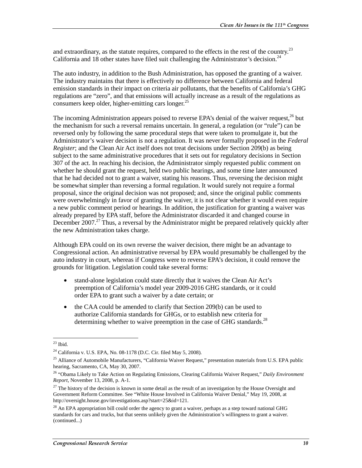and extraordinary, as the statute requires, compared to the effects in the rest of the country.<sup>23</sup> California and 18 other states have filed suit challenging the Administrator's decision.<sup>24</sup>

The auto industry, in addition to the Bush Administration, has opposed the granting of a waiver. The industry maintains that there is effectively no difference between California and federal emission standards in their impact on criteria air pollutants, that the benefits of California's GHG regulations are "zero", and that emissions will actually increase as a result of the regulations as consumers keep older, higher-emitting cars longer.<sup>25</sup>

The incoming Administration appears poised to reverse EPA's denial of the waiver request,  $^{26}$  but the mechanism for such a reversal remains uncertain. In general, a regulation (or "rule") can be reversed only by following the same procedural steps that were taken to promulgate it, but the Administrator's waiver decision is not a regulation. It was never formally proposed in the *Federal Register*; and the Clean Air Act itself does not treat decisions under Section 209(b) as being subject to the same administrative procedures that it sets out for regulatory decisions in Section 307 of the act. In reaching his decision, the Administrator simply requested public comment on whether he should grant the request, held two public hearings, and some time later announced that he had decided not to grant a waiver, stating his reasons. Thus, reversing the decision might be somewhat simpler than reversing a formal regulation. It would surely not require a formal proposal, since the original decision was not proposed; and, since the original public comments were overwhelmingly in favor of granting the waiver, it is not clear whether it would even require a new public comment period or hearings. In addition, the justification for granting a waiver was already prepared by EPA staff, before the Administrator discarded it and changed course in December 2007.<sup>27</sup> Thus, a reversal by the Administrator might be prepared relatively quickly after the new Administration takes charge.

Although EPA could on its own reverse the waiver decision, there might be an advantage to Congressional action. An administrative reversal by EPA would presumably be challenged by the auto industry in court, whereas if Congress were to reverse EPA's decision, it could remove the grounds for litigation. Legislation could take several forms:

- stand-alone legislation could state directly that it waives the Clean Air Act's preemption of California's model year 2009-2016 GHG standards, or it could order EPA to grant such a waiver by a date certain; or
- the CAA could be amended to clarify that Section 209(b) can be used to authorize California standards for GHGs, or to establish new criteria for determining whether to waive preemption in the case of GHG standards.<sup>28</sup>

 $\overline{a}$  $^{23}$  Ibid.

<sup>24</sup> California v. U.S. EPA, No. 08-1178 (D.C. Cir. filed May 5, 2008).

<sup>&</sup>lt;sup>25</sup> Alliance of Automobile Manufacturers, "California Waiver Request," presentation materials from U.S. EPA public hearing, Sacramento, CA, May 30, 2007.

<sup>26 &</sup>quot;Obama Likely to Take Action on Regulating Emissions, Clearing California Waiver Request," *Daily Environment Report*, November 13, 2008, p. A-1.

 $^{27}$  The history of the decision is known in some detail as the result of an investigation by the House Oversight and Government Reform Committee. See "White House Involved in California Waiver Denial," May 19, 2008, at http://oversight.house.gov/investigations.asp?start=25&id=121.

<sup>&</sup>lt;sup>28</sup> An EPA appropriation bill could order the agency to grant a waiver, perhaps as a step toward national GHG standards for cars and trucks, but that seems unlikely given the Administration's willingness to grant a waiver. (continued...)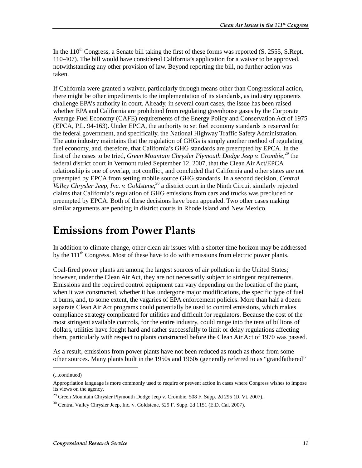In the  $110^{th}$  Congress, a Senate bill taking the first of these forms was reported (S. 2555, S.Rept. 110-407). The bill would have considered California's application for a waiver to be approved, notwithstanding any other provision of law. Beyond reporting the bill, no further action was taken.

If California were granted a waiver, particularly through means other than Congressional action, there might be other impediments to the implementation of its standards, as industry opponents challenge EPA's authority in court. Already, in several court cases, the issue has been raised whether EPA and California are prohibited from regulating greenhouse gases by the Corporate Average Fuel Economy (CAFE) requirements of the Energy Policy and Conservation Act of 1975 (EPCA, P.L. 94-163). Under EPCA, the authority to set fuel economy standards is reserved for the federal government, and specifically, the National Highway Traffic Safety Administration. The auto industry maintains that the regulation of GHGs is simply another method of regulating fuel economy, and, therefore, that California's GHG standards are preempted by EPCA. In the first of the cases to be tried, *Green Mountain Chrysler Plymouth Dodge Jeep v. Crombie*, 29 the federal district court in Vermont ruled September 12, 2007, that the Clean Air Act/EPCA relationship is one of overlap, not conflict, and concluded that California and other states are not preempted by EPCA from setting mobile source GHG standards. In a second decision, *Central Valley Chrysler Jeep, Inc. v. Goldstene*, 30 a district court in the Ninth Circuit similarly rejected claims that California's regulation of GHG emissions from cars and trucks was precluded or preempted by EPCA. Both of these decisions have been appealed. Two other cases making similar arguments are pending in district courts in Rhode Island and New Mexico.

## **Emissions from Power Plants**

In addition to climate change, other clean air issues with a shorter time horizon may be addressed by the 111<sup>th</sup> Congress. Most of these have to do with emissions from electric power plants.

Coal-fired power plants are among the largest sources of air pollution in the United States; however, under the Clean Air Act, they are not necessarily subject to stringent requirements. Emissions and the required control equipment can vary depending on the location of the plant, when it was constructed, whether it has undergone major modifications, the specific type of fuel it burns, and, to some extent, the vagaries of EPA enforcement policies. More than half a dozen separate Clean Air Act programs could potentially be used to control emissions, which makes compliance strategy complicated for utilities and difficult for regulators. Because the cost of the most stringent available controls, for the entire industry, could range into the tens of billions of dollars, utilities have fought hard and rather successfully to limit or delay regulations affecting them, particularly with respect to plants constructed before the Clean Air Act of 1970 was passed.

As a result, emissions from power plants have not been reduced as much as those from some other sources. Many plants built in the 1950s and 1960s (generally referred to as "grandfathered"

<sup>(...</sup>continued)

Appropriation language is more commonly used to require or prevent action in cases where Congress wishes to impose its views on the agency.

<sup>&</sup>lt;sup>29</sup> Green Mountain Chrysler Plymouth Dodge Jeep v. Crombie, 508 F. Supp. 2d 295 (D. Vt. 2007).

 $30$  Central Valley Chrysler Jeep, Inc. v. Goldstene, 529 F. Supp. 2d 1151 (E.D. Cal. 2007).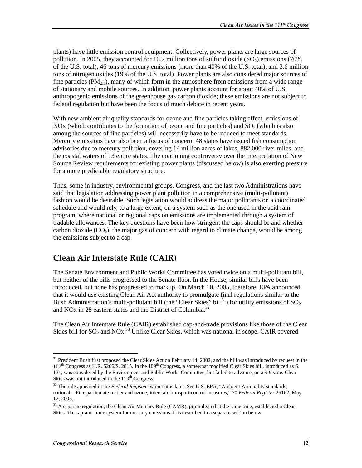plants) have little emission control equipment. Collectively, power plants are large sources of pollution. In 2005, they accounted for 10.2 million tons of sulfur dioxide  $(SO<sub>2</sub>)$  emissions (70%) of the U.S. total), 46 tons of mercury emissions (more than 40% of the U.S. total), and 3.6 million tons of nitrogen oxides (19% of the U.S. total). Power plants are also considered major sources of fine particles ( $PM_2$ , many of which form in the atmosphere from emissions from a wide range of stationary and mobile sources. In addition, power plants account for about 40% of U.S. anthropogenic emissions of the greenhouse gas carbon dioxide; these emissions are not subject to federal regulation but have been the focus of much debate in recent years.

With new ambient air quality standards for ozone and fine particles taking effect, emissions of NOx (which contributes to the formation of ozone and fine particles) and  $SO<sub>2</sub>$  (which is also among the sources of fine particles) will necessarily have to be reduced to meet standards. Mercury emissions have also been a focus of concern: 48 states have issued fish consumption advisories due to mercury pollution, covering 14 million acres of lakes, 882,000 river miles, and the coastal waters of 13 entire states. The continuing controversy over the interpretation of New Source Review requirements for existing power plants (discussed below) is also exerting pressure for a more predictable regulatory structure.

Thus, some in industry, environmental groups, Congress, and the last two Administrations have said that legislation addressing power plant pollution in a comprehensive (multi-pollutant) fashion would be desirable. Such legislation would address the major pollutants on a coordinated schedule and would rely, to a large extent, on a system such as the one used in the acid rain program, where national or regional caps on emissions are implemented through a system of tradable allowances. The key questions have been how stringent the caps should be and whether carbon dioxide  $(CO<sub>2</sub>)$ , the major gas of concern with regard to climate change, would be among the emissions subject to a cap.

## Clean Air Interstate Rule (CAIR)

The Senate Environment and Public Works Committee has voted twice on a multi-pollutant bill, but neither of the bills progressed to the Senate floor. In the House, similar bills have been introduced, but none has progressed to markup. On March 10, 2005, therefore, EPA announced that it would use existing Clean Air Act authority to promulgate final regulations similar to the Bush Administration's multi-pollutant bill (the "Clear Skies" bill<sup>31</sup>) for utility emissions of  $SO_2$ and NO<sub>x</sub> in 28 eastern states and the District of Columbia.<sup>32</sup>

The Clean Air Interstate Rule (CAIR) established cap-and-trade provisions like those of the Clear Skies bill for  $SO_2$  and  $NOX$ .<sup>33</sup> Unlike Clear Skies, which was national in scope, CAIR covered

<sup>&</sup>lt;sup>31</sup> President Bush first proposed the Clear Skies Act on February 14, 2002, and the bill was introduced by request in the  $107<sup>th</sup>$  Congress as H.R. 5266/S. 2815. In the  $109<sup>th</sup>$  Congress, a somewhat modified Clear Skies bill, introduced as S. 131, was considered by the Environment and Public Works Committee, but failed to advance, on a 9-9 vote. Clear Skies was not introduced in the 110<sup>th</sup> Congress.

<sup>&</sup>lt;sup>32</sup> The rule appeared in the *Federal Register* two months later. See U.S. EPA, "Ambient Air quality standards, national—Fine particulate matter and ozone; interstate transport control measures," 70 *Federal Register* 25162, May 12, 2005.

<sup>&</sup>lt;sup>33</sup> A separate regulation, the Clean Air Mercury Rule (CAMR), promulgated at the same time, established a Clear-Skies-like cap-and-trade system for mercury emissions. It is described in a separate section below.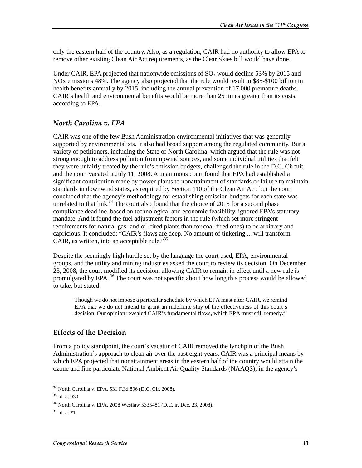only the eastern half of the country. Also, as a regulation, CAIR had no authority to allow EPA to remove other existing Clean Air Act requirements, as the Clear Skies bill would have done.

Under CAIR, EPA projected that nationwide emissions of  $SO_2$  would decline 53% by 2015 and NOx emissions 48%. The agency also projected that the rule would result in \$85-\$100 billion in health benefits annually by 2015, including the annual prevention of 17,000 premature deaths. CAIR's health and environmental benefits would be more than 25 times greater than its costs, according to EPA.

### North Carolina v. EPA

CAIR was one of the few Bush Administration environmental initiatives that was generally supported by environmentalists. It also had broad support among the regulated community. But a variety of petitioners, including the State of North Carolina, which argued that the rule was not strong enough to address pollution from upwind sources, and some individual utilities that felt they were unfairly treated by the rule's emission budgets, challenged the rule in the D.C. Circuit, and the court vacated it July 11, 2008. A unanimous court found that EPA had established a significant contribution made by power plants to nonattainment of standards or failure to maintain standards in downwind states, as required by Section 110 of the Clean Air Act, but the court concluded that the agency's methodology for establishing emission budgets for each state was unrelated to that  $\lim_{x \to 3^4}$  The court also found that the choice of 2015 for a second phase compliance deadline, based on technological and economic feasibility, ignored EPA's statutory mandate. And it found the fuel adjustment factors in the rule (which set more stringent requirements for natural gas- and oil-fired plants than for coal-fired ones) to be arbitrary and capricious. It concluded: "CAIR's flaws are deep. No amount of tinkering ... will transform CAIR, as written, into an acceptable rule."<sup>35</sup>

Despite the seemingly high hurdle set by the language the court used, EPA, environmental groups, and the utility and mining industries asked the court to review its decision. On December 23, 2008, the court modified its decision, allowing CAIR to remain in effect until a new rule is promulgated by EPA.<sup>36</sup> The court was not specific about how long this process would be allowed to take, but stated:

Though we do not impose a particular schedule by which EPA must alter CAIR, we remind EPA that we do not intend to grant an indefinite stay of the effectiveness of this court's decision. Our opinion revealed CAIR's fundamental flaws, which EPA must still remedy.<sup>37</sup>

#### **Effects of the Decision**

From a policy standpoint, the court's vacatur of CAIR removed the lynchpin of the Bush Administration's approach to clean air over the past eight years. CAIR was a principal means by which EPA projected that nonattainment areas in the eastern half of the country would attain the ozone and fine particulate National Ambient Air Quality Standards (NAAQS); in the agency's

 $\overline{a}$ 34 North Carolina v. EPA, 531 F.3d 896 (D.C. Cir. 2008).

<sup>35</sup> Id. at 930.

<sup>36</sup> North Carolina v. EPA, 2008 Westlaw 5335481 (D.C. ir. Dec. 23, 2008).

 $37$  Id. at  $*1$ .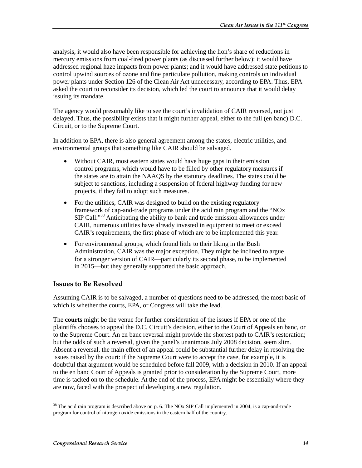analysis, it would also have been responsible for achieving the lion's share of reductions in mercury emissions from coal-fired power plants (as discussed further below); it would have addressed regional haze impacts from power plants; and it would have addressed state petitions to control upwind sources of ozone and fine particulate pollution, making controls on individual power plants under Section 126 of the Clean Air Act unnecessary, according to EPA. Thus, EPA asked the court to reconsider its decision, which led the court to announce that it would delay issuing its mandate.

The agency would presumably like to see the court's invalidation of CAIR reversed, not just delayed. Thus, the possibility exists that it might further appeal, either to the full (en banc) D.C. Circuit, or to the Supreme Court.

In addition to EPA, there is also general agreement among the states, electric utilities, and environmental groups that something like CAIR should be salvaged.

- Without CAIR, most eastern states would have huge gaps in their emission control programs, which would have to be filled by other regulatory measures if the states are to attain the NAAQS by the statutory deadlines. The states could be subject to sanctions, including a suspension of federal highway funding for new projects, if they fail to adopt such measures.
- For the utilities, CAIR was designed to build on the existing regulatory framework of cap-and-trade programs under the acid rain program and the "NOx SIP Call."<sup>38</sup> Anticipating the ability to bank and trade emission allowances under CAIR, numerous utilities have already invested in equipment to meet or exceed CAIR's requirements, the first phase of which are to be implemented this year.
- For environmental groups, which found little to their liking in the Bush Administration, CAIR was the major exception. They might be inclined to argue for a stronger version of CAIR—particularly its second phase, to be implemented in 2015—but they generally supported the basic approach.

#### **Issues to Be Resolved**

Assuming CAIR is to be salvaged, a number of questions need to be addressed, the most basic of which is whether the courts, EPA, or Congress will take the lead.

The **courts** might be the venue for further consideration of the issues if EPA or one of the plaintiffs chooses to appeal the D.C. Circuit's decision, either to the Court of Appeals en banc, or to the Supreme Court. An en banc reversal might provide the shortest path to CAIR's restoration; but the odds of such a reversal, given the panel's unanimous July 2008 decision, seem slim. Absent a reversal, the main effect of an appeal could be substantial further delay in resolving the issues raised by the court: if the Supreme Court were to accept the case, for example, it is doubtful that argument would be scheduled before fall 2009, with a decision in 2010. If an appeal to the en banc Court of Appeals is granted prior to consideration by the Supreme Court, more time is tacked on to the schedule. At the end of the process, EPA might be essentially where they are now, faced with the prospect of developing a new regulation.

 $\overline{a}$  $38$  The acid rain program is described above on p. 6. The NOx SIP Call implemented in 2004, is a cap-and-trade program for control of nitrogen oxide emissions in the eastern half of the country.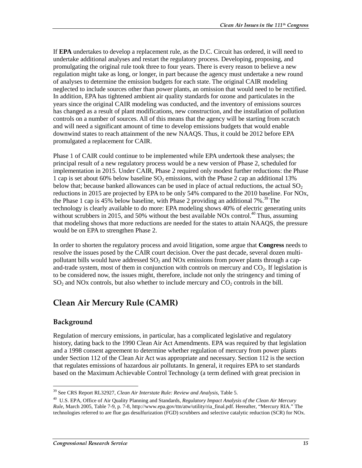If **EPA** undertakes to develop a replacement rule, as the D.C. Circuit has ordered, it will need to undertake additional analyses and restart the regulatory process. Developing, proposing, and promulgating the original rule took three to four years. There is every reason to believe a new regulation might take as long, or longer, in part because the agency must undertake a new round of analyses to determine the emission budgets for each state. The original CAIR modeling neglected to include sources other than power plants, an omission that would need to be rectified. In addition, EPA has tightened ambient air quality standards for ozone and particulates in the years since the original CAIR modeling was conducted, and the inventory of emissions sources has changed as a result of plant modifications, new construction, and the installation of pollution controls on a number of sources. All of this means that the agency will be starting from scratch and will need a significant amount of time to develop emissions budgets that would enable downwind states to reach attainment of the new NAAQS. Thus, it could be 2012 before EPA promulgated a replacement for CAIR.

Phase 1 of CAIR could continue to be implemented while EPA undertook these analyses; the principal result of a new regulatory process would be a new version of Phase 2, scheduled for implementation in 2015. Under CAIR, Phase 2 required only modest further reductions: the Phase 1 cap is set about 60% below baseline  $SO<sub>2</sub>$  emissions, with the Phase 2 cap an additional 13% below that; because banked allowances can be used in place of actual reductions, the actual  $SO<sub>2</sub>$ reductions in 2015 are projected by EPA to be only 54% compared to the 2010 baseline. For NOx, the Phase 1 cap is 45% below baseline, with Phase 2 providing an additional  $7\%$ <sup>39</sup> The technology is clearly available to do more: EPA modeling shows 40% of electric generating units without scrubbers in 2015, and 50% without the best available NOx control.<sup>40</sup> Thus, assuming that modeling shows that more reductions are needed for the states to attain NAAQS, the pressure would be on EPA to strengthen Phase 2.

In order to shorten the regulatory process and avoid litigation, some argue that **Congress** needs to resolve the issues posed by the CAIR court decision. Over the past decade, several dozen multipollutant bills would have addressed  $SO<sub>2</sub>$  and NOx emissions from power plants through a capand-trade system, most of them in conjunction with controls on mercury and  $CO<sub>2</sub>$ . If legislation is to be considered now, the issues might, therefore, include not only the stringency and timing of  $SO<sub>2</sub>$  and NOx controls, but also whether to include mercury and  $CO<sub>2</sub>$  controls in the bill.

## Clean Air Mercury Rule (CAMR)

#### **Background**

Regulation of mercury emissions, in particular, has a complicated legislative and regulatory history, dating back to the 1990 Clean Air Act Amendments. EPA was required by that legislation and a 1998 consent agreement to determine whether regulation of mercury from power plants under Section 112 of the Clean Air Act was appropriate and necessary. Section 112 is the section that regulates emissions of hazardous air pollutants. In general, it requires EPA to set standards based on the Maximum Achievable Control Technology (a term defined with great precision in

 $\overline{a}$ 39 See CRS Report RL32927, *Clean Air Interstate Rule: Review and Analysis*, Table 5.

<sup>40</sup> U.S. EPA, Office of Air Quality Planning and Standards, *Regulatory Impact Analysis of the Clean Air Mercury Rule*, March 2005, Table 7-9, p. 7-8, http://www.epa.gov/ttn/atw/utility/ria\_final.pdf. Hereafter, "Mercury RIA." The technologies referred to are flue gas desulfurization (FGD) scrubbers and selective catalytic reduction (SCR) for NOx.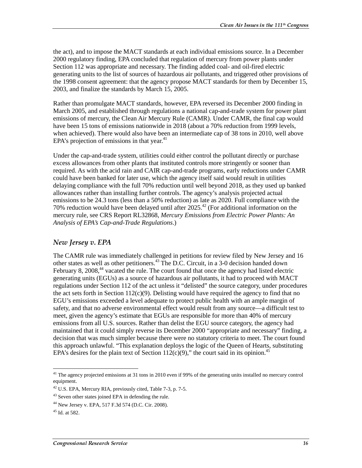the act), and to impose the MACT standards at each individual emissions source. In a December 2000 regulatory finding, EPA concluded that regulation of mercury from power plants under Section 112 was appropriate and necessary. The finding added coal- and oil-fired electric generating units to the list of sources of hazardous air pollutants, and triggered other provisions of the 1998 consent agreement: that the agency propose MACT standards for them by December 15, 2003, and finalize the standards by March 15, 2005.

Rather than promulgate MACT standards, however, EPA reversed its December 2000 finding in March 2005, and established through regulations a national cap-and-trade system for power plant emissions of mercury, the Clean Air Mercury Rule (CAMR). Under CAMR, the final cap would have been 15 tons of emissions nationwide in 2018 (about a 70% reduction from 1999 levels, when achieved). There would also have been an intermediate cap of 38 tons in 2010, well above EPA's projection of emissions in that year. $41$ 

Under the cap-and-trade system, utilities could either control the pollutant directly or purchase excess allowances from other plants that instituted controls more stringently or sooner than required. As with the acid rain and CAIR cap-and-trade programs, early reductions under CAMR could have been banked for later use, which the agency itself said would result in utilities delaying compliance with the full 70% reduction until well beyond 2018, as they used up banked allowances rather than installing further controls. The agency's analysis projected actual emissions to be 24.3 tons (less than a 50% reduction) as late as 2020. Full compliance with the 70% reduction would have been delayed until after  $2025<sup>42</sup>$  (For additional information on the mercury rule, see CRS Report RL32868, *Mercury Emissions from Electric Power Plants: An Analysis of EPA's Cap-and-Trade Regulations*.)

### New Jersey v. EPA

The CAMR rule was immediately challenged in petitions for review filed by New Jersey and 16 other states as well as other petitioners.<sup>43</sup> The D.C. Circuit, in a 3-0 decision handed down February 8, 2008,<sup>44</sup> vacated the rule. The court found that once the agency had listed electric generating units (EGUs) as a source of hazardous air pollutants, it had to proceed with MACT regulations under Section 112 of the act unless it "delisted" the source category, under procedures the act sets forth in Section  $112(c)(9)$ . Delisting would have required the agency to find that no EGU's emissions exceeded a level adequate to protect public health with an ample margin of safety, and that no adverse environmental effect would result from any source—a difficult test to meet, given the agency's estimate that EGUs are responsible for more than 40% of mercury emissions from all U.S. sources. Rather than delist the EGU source category, the agency had maintained that it could simply reverse its December 2000 "appropriate and necessary" finding, a decision that was much simpler because there were no statutory criteria to meet. The court found this approach unlawful. "This explanation deploys the logic of the Queen of Hearts, substituting EPA's desires for the plain text of Section  $112(c)(9)$ ," the court said in its opinion.<sup>45</sup>

 $\overline{a}$ <sup>41</sup> The agency projected emissions at 31 tons in 2010 even if 99% of the generating units installed no mercury control equipment.

 $^{42}$  U.S. EPA, Mercury RIA, previously cited, Table 7-3, p. 7-5.

<sup>&</sup>lt;sup>43</sup> Seven other states joined EPA in defending the rule.

<sup>44</sup> New Jersey v. EPA, 517 F.3d 574 (D.C. Cir. 2008).

 $45$  Id. at 582.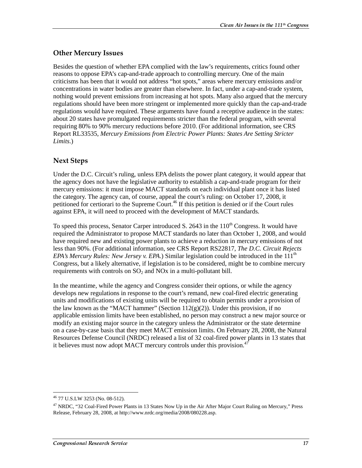### Other Mercury Issues

Besides the question of whether EPA complied with the law's requirements, critics found other reasons to oppose EPA's cap-and-trade approach to controlling mercury. One of the main criticisms has been that it would not address "hot spots," areas where mercury emissions and/or concentrations in water bodies are greater than elsewhere. In fact, under a cap-and-trade system, nothing would prevent emissions from increasing at hot spots. Many also argued that the mercury regulations should have been more stringent or implemented more quickly than the cap-and-trade regulations would have required. These arguments have found a receptive audience in the states: about 20 states have promulgated requirements stricter than the federal program, with several requiring 80% to 90% mercury reductions before 2010. (For additional information, see CRS Report RL33535, *Mercury Emissions from Electric Power Plants: States Are Setting Stricter Limits*.)

## Next Steps

Under the D.C. Circuit's ruling, unless EPA delists the power plant category, it would appear that the agency does not have the legislative authority to establish a cap-and-trade program for their mercury emissions: it must impose MACT standards on each individual plant once it has listed the category. The agency can, of course, appeal the court's ruling: on October 17, 2008, it petitioned for certiorari to the Supreme Court.<sup>46</sup> If this petition is denied or if the Court rules against EPA, it will need to proceed with the development of MACT standards.

To speed this process, Senator Carper introduced S. 2643 in the  $110<sup>th</sup>$  Congress. It would have required the Administrator to propose MACT standards no later than October 1, 2008, and would have required new and existing power plants to achieve a reduction in mercury emissions of not less than 90%. (For additional information, see CRS Report RS22817, *The D.C. Circuit Rejects EPA's Mercury Rules: New Jersey v. EPA.*) Similar legislation could be introduced in the  $111<sup>th</sup>$ Congress, but a likely alternative, if legislation is to be considered, might be to combine mercury requirements with controls on  $SO_2$  and  $NOx$  in a multi-pollutant bill.

In the meantime, while the agency and Congress consider their options, or while the agency develops new regulations in response to the court's remand, new coal-fired electric generating units and modifications of existing units will be required to obtain permits under a provision of the law known as the "MACT hammer" (Section  $112(g)(2)$ ). Under this provision, if no applicable emission limits have been established, no person may construct a new major source or modify an existing major source in the category unless the Administrator or the state determine on a case-by-case basis that they meet MACT emission limits. On February 28, 2008, the Natural Resources Defense Council (NRDC) released a list of 32 coal-fired power plants in 13 states that it believes must now adopt MACT mercury controls under this provision.<sup>47</sup>

 $\overline{a}$ 46 77 U.S.LW 3253 (No. 08-512).

<sup>&</sup>lt;sup>47</sup> NRDC, "32 Coal-Fired Power Plants in 13 States Now Up in the Air After Major Court Ruling on Mercury," Press Release, February 28, 2008, at http://www.nrdc.org/media/2008/080228.asp.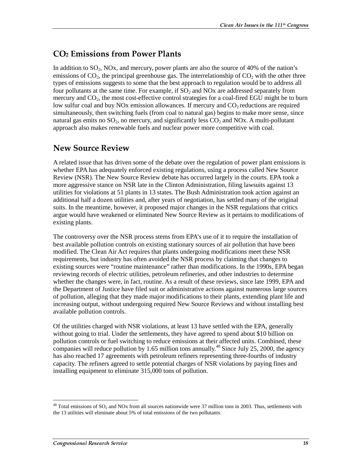## CO<sub>2</sub> Emissions from Power Plants

In addition to  $SO_2$ , NOx, and mercury, power plants are also the source of 40% of the nation's emissions of  $CO<sub>2</sub>$ , the principal greenhouse gas. The interrelationship of  $CO<sub>2</sub>$  with the other three types of emissions suggests to some that the best approach to regulation would be to address all four pollutants at the same time. For example, if  $SO<sub>2</sub>$  and NOx are addressed separately from mercury and  $CO<sub>2</sub>$ , the most cost-effective control strategies for a coal-fired EGU might be to burn low sulfur coal and buy NOx emission allowances. If mercury and  $CO<sub>2</sub>$  reductions are required simultaneously, then switching fuels (from coal to natural gas) begins to make more sense, since natural gas emits no  $SO_2$ , no mercury, and significantly less  $CO_2$  and NOx. A multi-pollutant approach also makes renewable fuels and nuclear power more competitive with coal.

## New Source Review

A related issue that has driven some of the debate over the regulation of power plant emissions is whether EPA has adequately enforced existing regulations, using a process called New Source Review (NSR). The New Source Review debate has occurred largely in the courts. EPA took a more aggressive stance on NSR late in the Clinton Administration, filing lawsuits against 13 utilities for violations at 51 plants in 13 states. The Bush Administration took action against an additional half a dozen utilities and, after years of negotiation, has settled many of the original suits. In the meantime, however, it proposed major changes in the NSR regulations that critics argue would have weakened or eliminated New Source Review as it pertains to modifications of existing plants.

The controversy over the NSR process stems from EPA's use of it to require the installation of best available pollution controls on existing stationary sources of air pollution that have been modified. The Clean Air Act requires that plants undergoing modifications meet these NSR requirements, but industry has often avoided the NSR process by claiming that changes to existing sources were "routine maintenance" rather than modifications. In the 1990s, EPA began reviewing records of electric utilities, petroleum refineries, and other industries to determine whether the changes were, in fact, routine. As a result of these reviews, since late 1999, EPA and the Department of Justice have filed suit or administrative actions against numerous large sources of pollution, alleging that they made major modifications to their plants, extending plant life and increasing output, without undergoing required New Source Reviews and without installing best available pollution controls.

Of the utilities charged with NSR violations, at least 13 have settled with the EPA, generally without going to trial. Under the settlements, they have agreed to spend about \$10 billion on pollution controls or fuel switching to reduce emissions at their affected units. Combined, these companies will reduce pollution by 1.65 million tons annually.<sup>48</sup> Since July 25, 2000, the agency has also reached 17 agreements with petroleum refiners representing three-fourths of industry capacity. The refiners agreed to settle potential charges of NSR violations by paying fines and installing equipment to eliminate 315,000 tons of pollution.

 $^{48}$  Total emissions of SO<sub>2</sub> and NOx from all sources nationwide were 37 million tons in 2003. Thus, settlements with the 13 utilities will eliminate about 5% of total emissions of the two pollutants.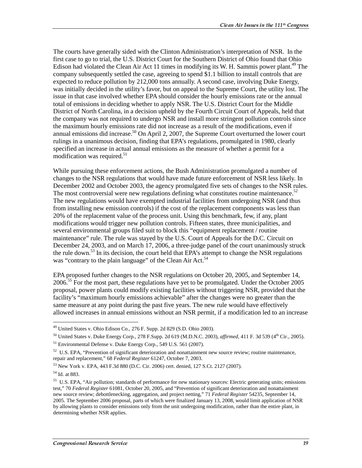The courts have generally sided with the Clinton Administration's interpretation of NSR. In the first case to go to trial, the U.S. District Court for the Southern District of Ohio found that Ohio Edison had violated the Clean Air Act 11 times in modifying its W. H. Sammis power plant.<sup>49</sup> The company subsequently settled the case, agreeing to spend \$1.1 billion to install controls that are expected to reduce pollution by 212,000 tons annually. A second case, involving Duke Energy, was initially decided in the utility's favor, but on appeal to the Supreme Court, the utility lost. The issue in that case involved whether EPA should consider the hourly emissions rate or the annual total of emissions in deciding whether to apply NSR. The U.S. District Court for the Middle District of North Carolina, in a decision upheld by the Fourth Circuit Court of Appeals, held that the company was not required to undergo NSR and install more stringent pollution controls since the maximum hourly emissions rate did not increase as a result of the modifications, even if annual emissions did increase.<sup>50</sup> On April 2, 2007, the Supreme Court overturned the lower court rulings in a unanimous decision, finding that EPA's regulations, promulgated in 1980, clearly specified an increase in actual annual emissions as the measure of whether a permit for a modification was required. $51$ 

While pursuing these enforcement actions, the Bush Administration promulgated a number of changes to the NSR regulations that would have made future enforcement of NSR less likely. In December 2002 and October 2003, the agency promulgated five sets of changes to the NSR rules. The most controversial were new regulations defining what constitutes routine maintenance.<sup>52</sup> The new regulations would have exempted industrial facilities from undergoing NSR (and thus from installing new emission controls) if the cost of the replacement components was less than 20% of the replacement value of the process unit. Using this benchmark, few, if any, plant modifications would trigger new pollution controls. Fifteen states, three municipalities, and several environmental groups filed suit to block this "equipment replacement / routine maintenance" rule. The rule was stayed by the U.S. Court of Appeals for the D.C. Circuit on December 24, 2003, and on March 17, 2006, a three-judge panel of the court unanimously struck the rule down.<sup>53</sup> In its decision, the court held that EPA's attempt to change the NSR regulations was "contrary to the plain language" of the Clean Air Act.<sup>54</sup>

EPA proposed further changes to the NSR regulations on October 20, 2005, and September 14, 2006.<sup>55</sup> For the most part, these regulations have yet to be promulgated. Under the October 2005 proposal, power plants could modify existing facilities without triggering NSR, provided that the facility's "maximum hourly emissions achievable" after the changes were no greater than the same measure at any point during the past five years. The new rule would have effectively allowed increases in annual emissions without an NSR permit, if a modification led to an increase

<sup>&</sup>lt;sup>49</sup> United States v. Ohio Edison Co., 276 F. Supp. 2d 829 (S.D. Ohio 2003).

<sup>&</sup>lt;sup>50</sup> United States v. Duke Energy Corp., 278 F.Supp. 2d 619 (M.D.N.C. 2003), *affirmed*, 411 F. 3d 539 (4<sup>th</sup> Cir., 2005). 51 Environmental Defense v. Duke Energy Corp., 549 U.S. 561 (2007).

 $52$  U.S. EPA, "Prevention of significant deterioration and nonattainment new source review; routine maintenance, repair and replacement," 68 *Federal Register* 61247, October 7, 2003.

<sup>53</sup> New York v. EPA, 443 F.3d 880 (D.C. Cir. 2006) cert. denied, 127 S.Ct. 2127 (2007).

<sup>54</sup> Id. at 883.

<sup>&</sup>lt;sup>55</sup> U.S. EPA, "Air pollution; standards of performance for new stationary sources: Electric generating units; emissions test," 70 *Federal Register* 61081, October 20, 2005, and "Prevention of significant deterioration and nonattainment new source review; debottlenecking, aggregation, and project netting," 71 *Federal Register* 54235, September 14, 2005. The September 2006 proposal, parts of which were finalized January 13, 2008, would limit application of NSR by allowing plants to consider emissions only from the unit undergoing modification, rather than the entire plant, in determining whether NSR applies.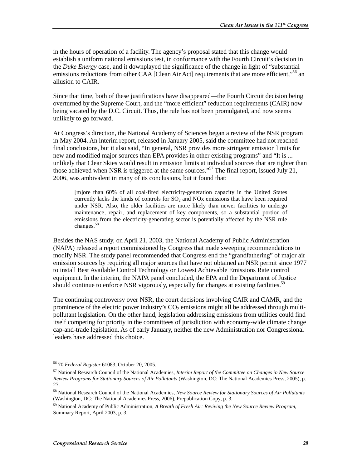in the hours of operation of a facility. The agency's proposal stated that this change would establish a uniform national emissions test, in conformance with the Fourth Circuit's decision in the *Duke Energy* case, and it downplayed the significance of the change in light of "substantial emissions reductions from other CAA [Clean Air Act] requirements that are more efficient,<sup>556</sup> an allusion to CAIR.

Since that time, both of these justifications have disappeared—the Fourth Circuit decision being overturned by the Supreme Court, and the "more efficient" reduction requirements (CAIR) now being vacated by the D.C. Circuit. Thus, the rule has not been promulgated, and now seems unlikely to go forward.

At Congress's direction, the National Academy of Sciences began a review of the NSR program in May 2004. An interim report, released in January 2005, said the committee had not reached final conclusions, but it also said, "In general, NSR provides more stringent emission limits for new and modified major sources than EPA provides in other existing programs" and "It is ... unlikely that Clear Skies would result in emission limits at individual sources that are tighter than those achieved when NSR is triggered at the same sources."<sup>57</sup> The final report, issued July 21, 2006, was ambivalent in many of its conclusions, but it found that:

[m]ore than 60% of all coal-fired electricity-generation capacity in the United States currently lacks the kinds of controls for  $SO<sub>2</sub>$  and NOx emissions that have been required under NSR. Also, the older facilities are more likely than newer facilities to undergo maintenance, repair, and replacement of key components, so a substantial portion of emissions from the electricity-generating sector is potentially affected by the NSR rule changes.<sup>58</sup>

Besides the NAS study, on April 21, 2003, the National Academy of Public Administration (NAPA) released a report commissioned by Congress that made sweeping recommendations to modify NSR. The study panel recommended that Congress end the "grandfathering" of major air emission sources by requiring all major sources that have not obtained an NSR permit since 1977 to install Best Available Control Technology or Lowest Achievable Emissions Rate control equipment. In the interim, the NAPA panel concluded, the EPA and the Department of Justice should continue to enforce NSR vigorously, especially for changes at existing facilities.<sup>59</sup>

The continuing controversy over NSR, the court decisions involving CAIR and CAMR, and the prominence of the electric power industry's  $CO<sub>2</sub>$  emissions might all be addressed through multipollutant legislation. On the other hand, legislation addressing emissions from utilities could find itself competing for priority in the committees of jurisdiction with economy-wide climate change cap-and-trade legislation. As of early January, neither the new Administration nor Congressional leaders have addressed this choice.

<sup>56 70</sup> *Federal Register* 61083, October 20, 2005.

<sup>57</sup> National Research Council of the National Academies, *Interim Report of the Committee on Changes in New Source Review Programs for Stationary Sources of Air Pollutants* (Washington, DC: The National Academies Press, 2005), p. 27.

<sup>58</sup> National Research Council of the National Academies, *New Source Review for Stationary Sources of Air Pollutants* (Washington, DC: The National Academies Press, 2006), Prepublication Copy, p. 3.

<sup>59</sup> National Academy of Public Administration, *A Breath of Fresh Air: Reviving the New Source Review Program*, Summary Report, April 2003, p. 3.